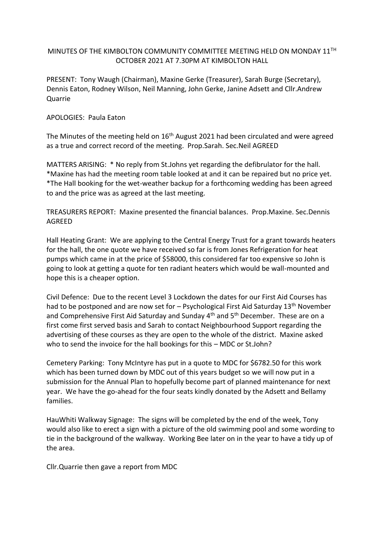## MINUTES OF THE KIMBOLTON COMMUNITY COMMITTEE MEETING HELD ON MONDAY 11TH OCTOBER 2021 AT 7.30PM AT KIMBOLTON HALL

PRESENT: Tony Waugh (Chairman), Maxine Gerke (Treasurer), Sarah Burge (Secretary), Dennis Eaton, Rodney Wilson, Neil Manning, John Gerke, Janine Adsett and Cllr.Andrew Quarrie

## APOLOGIES: Paula Eaton

The Minutes of the meeting held on 16<sup>th</sup> August 2021 had been circulated and were agreed as a true and correct record of the meeting. Prop.Sarah. Sec.Neil AGREED

MATTERS ARISING: \* No reply from St.Johns yet regarding the defibrulator for the hall. \*Maxine has had the meeting room table looked at and it can be repaired but no price yet. \*The Hall booking for the wet-weather backup for a forthcoming wedding has been agreed to and the price was as agreed at the last meeting.

TREASURERS REPORT: Maxine presented the financial balances. Prop.Maxine. Sec.Dennis AGREED

Hall Heating Grant: We are applying to the Central Energy Trust for a grant towards heaters for the hall, the one quote we have received so far is from Jones Refrigeration for heat pumps which came in at the price of \$58000, this considered far too expensive so John is going to look at getting a quote for ten radiant heaters which would be wall-mounted and hope this is a cheaper option.

Civil Defence: Due to the recent Level 3 Lockdown the dates for our First Aid Courses has had to be postponed and are now set for  $-$  Psychological First Aid Saturday 13<sup>th</sup> November and Comprehensive First Aid Saturday and Sunday  $4<sup>th</sup>$  and  $5<sup>th</sup>$  December. These are on a first come first served basis and Sarah to contact Neighbourhood Support regarding the advertising of these courses as they are open to the whole of the district. Maxine asked who to send the invoice for the hall bookings for this – MDC or St.John?

Cemetery Parking: Tony McIntyre has put in a quote to MDC for \$6782.50 for this work which has been turned down by MDC out of this years budget so we will now put in a submission for the Annual Plan to hopefully become part of planned maintenance for next year. We have the go-ahead for the four seats kindly donated by the Adsett and Bellamy families.

HauWhiti Walkway Signage: The signs will be completed by the end of the week, Tony would also like to erect a sign with a picture of the old swimming pool and some wording to tie in the background of the walkway. Working Bee later on in the year to have a tidy up of the area.

Cllr.Quarrie then gave a report from MDC